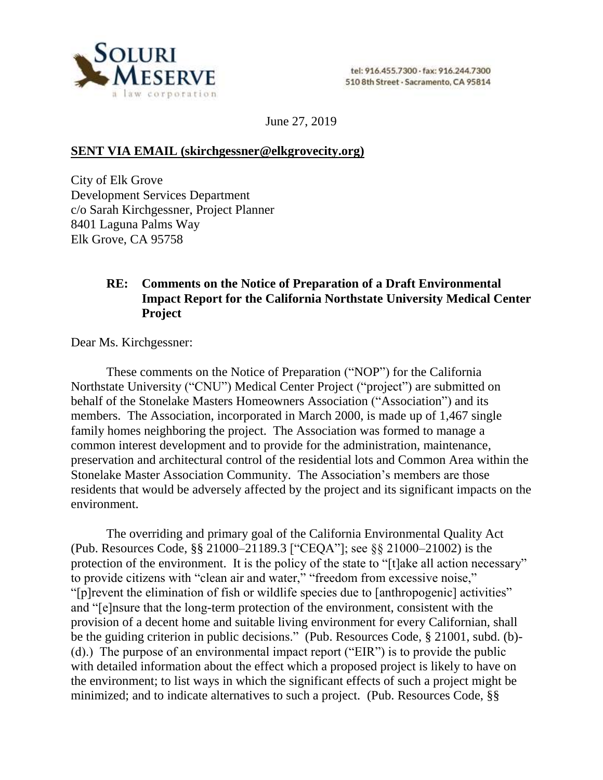

June 27, 2019

## **SENT VIA EMAIL (skirchgessner@elkgrovecity.org)**

City of Elk Grove Development Services Department c/o Sarah Kirchgessner, Project Planner 8401 Laguna Palms Way Elk Grove, CA 95758

## **RE: Comments on the Notice of Preparation of a Draft Environmental Impact Report for the California Northstate University Medical Center Project**

Dear Ms. Kirchgessner:

These comments on the Notice of Preparation ("NOP") for the California Northstate University ("CNU") Medical Center Project ("project") are submitted on behalf of the Stonelake Masters Homeowners Association ("Association") and its members. The Association, incorporated in March 2000, is made up of 1,467 single family homes neighboring the project. The Association was formed to manage a common interest development and to provide for the administration, maintenance, preservation and architectural control of the residential lots and Common Area within the Stonelake Master Association Community. The Association's members are those residents that would be adversely affected by the project and its significant impacts on the environment.

The overriding and primary goal of the California Environmental Quality Act (Pub. Resources Code, §§ 21000–21189.3 ["CEQA"]; see §§ 21000–21002) is the protection of the environment. It is the policy of the state to "[t]ake all action necessary" to provide citizens with "clean air and water," "freedom from excessive noise," "[p]revent the elimination of fish or wildlife species due to [anthropogenic] activities" and "[e]nsure that the long-term protection of the environment, consistent with the provision of a decent home and suitable living environment for every Californian, shall be the guiding criterion in public decisions." (Pub. Resources Code, § 21001, subd. (b)- (d).) The purpose of an environmental impact report ("EIR") is to provide the public with detailed information about the effect which a proposed project is likely to have on the environment; to list ways in which the significant effects of such a project might be minimized; and to indicate alternatives to such a project. (Pub. Resources Code, §§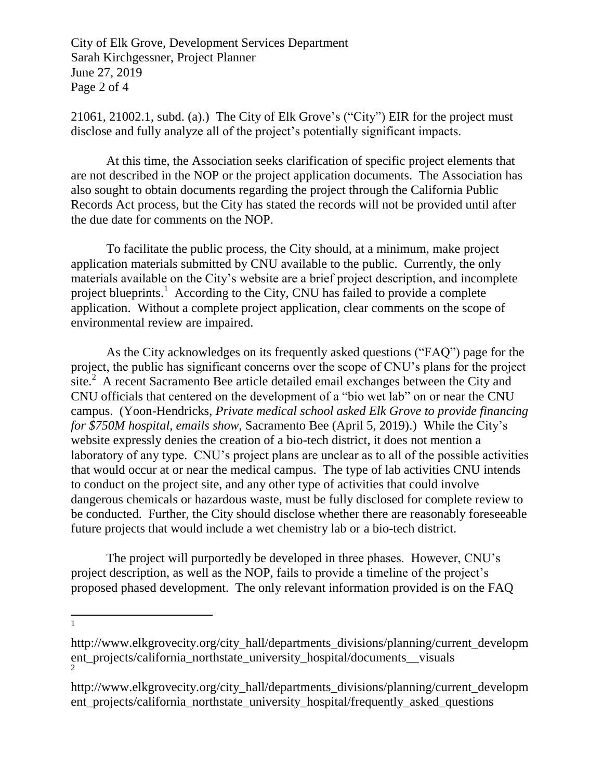City of Elk Grove, Development Services Department Sarah Kirchgessner, Project Planner June 27, 2019 Page 2 of 4

21061, 21002.1, subd. (a).) The City of Elk Grove's ("City") EIR for the project must disclose and fully analyze all of the project's potentially significant impacts.

At this time, the Association seeks clarification of specific project elements that are not described in the NOP or the project application documents. The Association has also sought to obtain documents regarding the project through the California Public Records Act process, but the City has stated the records will not be provided until after the due date for comments on the NOP.

To facilitate the public process, the City should, at a minimum, make project application materials submitted by CNU available to the public. Currently, the only materials available on the City's website are a brief project description, and incomplete project blueprints.<sup>1</sup> According to the City, CNU has failed to provide a complete application. Without a complete project application, clear comments on the scope of environmental review are impaired.

As the City acknowledges on its frequently asked questions ("FAQ") page for the project, the public has significant concerns over the scope of CNU's plans for the project  $\sinh^2 A$  recent Sacramento Bee article detailed email exchanges between the City and CNU officials that centered on the development of a "bio wet lab" on or near the CNU campus. (Yoon-Hendricks, *Private medical school asked Elk Grove to provide financing for \$750M hospital, emails show*, Sacramento Bee (April 5, 2019).) While the City's website expressly denies the creation of a bio-tech district, it does not mention a laboratory of any type. CNU's project plans are unclear as to all of the possible activities that would occur at or near the medical campus. The type of lab activities CNU intends to conduct on the project site, and any other type of activities that could involve dangerous chemicals or hazardous waste, must be fully disclosed for complete review to be conducted. Further, the City should disclose whether there are reasonably foreseeable future projects that would include a wet chemistry lab or a bio-tech district.

The project will purportedly be developed in three phases. However, CNU's project description, as well as the NOP, fails to provide a timeline of the project's proposed phased development. The only relevant information provided is on the FAQ

 $\overline{a}$ 1

http://www.elkgrovecity.org/city\_hall/departments\_divisions/planning/current\_developm ent projects/california northstate university hospital/documents visuals 2

http://www.elkgrovecity.org/city\_hall/departments\_divisions/planning/current\_developm ent\_projects/california\_northstate\_university\_hospital/frequently\_asked\_questions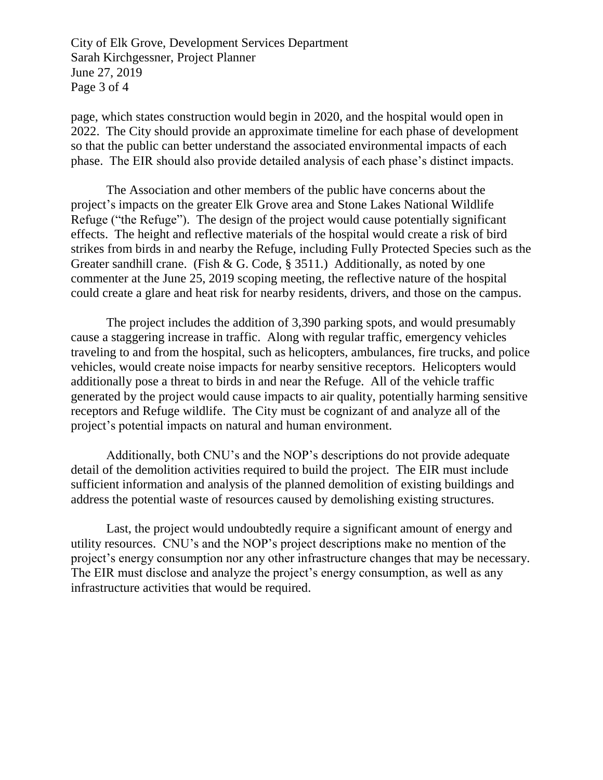City of Elk Grove, Development Services Department Sarah Kirchgessner, Project Planner June 27, 2019 Page 3 of 4

page, which states construction would begin in 2020, and the hospital would open in 2022. The City should provide an approximate timeline for each phase of development so that the public can better understand the associated environmental impacts of each phase. The EIR should also provide detailed analysis of each phase's distinct impacts.

The Association and other members of the public have concerns about the project's impacts on the greater Elk Grove area and Stone Lakes National Wildlife Refuge ("the Refuge"). The design of the project would cause potentially significant effects. The height and reflective materials of the hospital would create a risk of bird strikes from birds in and nearby the Refuge, including Fully Protected Species such as the Greater sandhill crane. (Fish & G. Code, § 3511.) Additionally, as noted by one commenter at the June 25, 2019 scoping meeting, the reflective nature of the hospital could create a glare and heat risk for nearby residents, drivers, and those on the campus.

The project includes the addition of 3,390 parking spots, and would presumably cause a staggering increase in traffic. Along with regular traffic, emergency vehicles traveling to and from the hospital, such as helicopters, ambulances, fire trucks, and police vehicles, would create noise impacts for nearby sensitive receptors. Helicopters would additionally pose a threat to birds in and near the Refuge. All of the vehicle traffic generated by the project would cause impacts to air quality, potentially harming sensitive receptors and Refuge wildlife. The City must be cognizant of and analyze all of the project's potential impacts on natural and human environment.

Additionally, both CNU's and the NOP's descriptions do not provide adequate detail of the demolition activities required to build the project. The EIR must include sufficient information and analysis of the planned demolition of existing buildings and address the potential waste of resources caused by demolishing existing structures.

Last, the project would undoubtedly require a significant amount of energy and utility resources. CNU's and the NOP's project descriptions make no mention of the project's energy consumption nor any other infrastructure changes that may be necessary. The EIR must disclose and analyze the project's energy consumption, as well as any infrastructure activities that would be required.